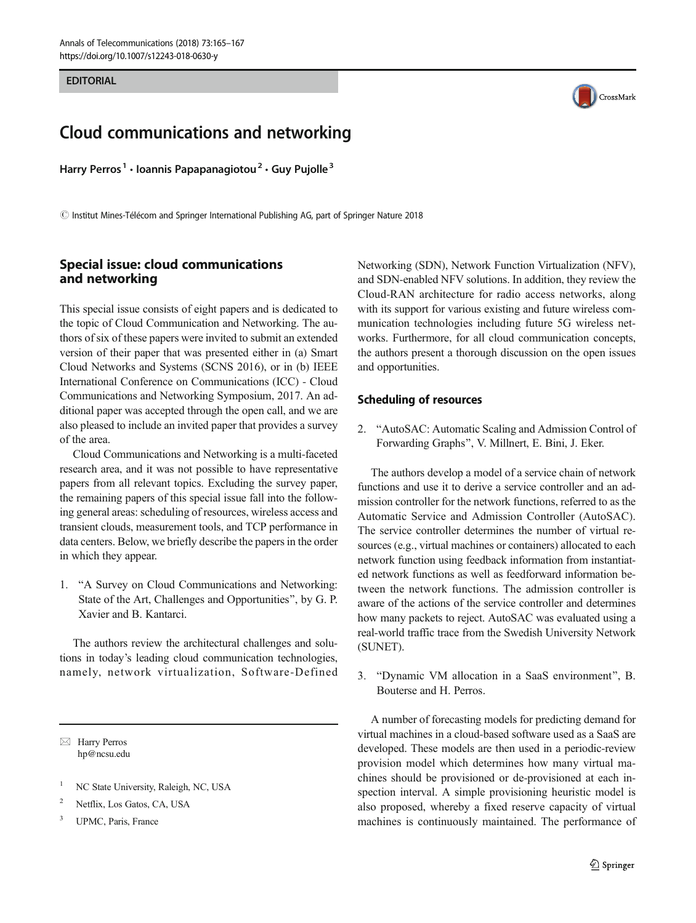#### **FDITORIAL** EDITORIAL

# Cloud communications and networking

Harry Perros<sup>1</sup> · Ioannis Papapanagiotou<sup>2</sup> · Guy Pujolle<sup>3</sup>

 $\odot$  Institut Mines-Télécom and Springer International Publishing AG, part of Springer Nature 2018

## Special issue: cloud communications and networking

This special issue consists of eight papers and is dedicated to the topic of Cloud Communication and Networking. The authors of six of these papers were invited to submit an extended version of their paper that was presented either in (a) Smart Cloud Networks and Systems (SCNS 2016), or in (b) IEEE International Conference on Communications (ICC) - Cloud Communications and Networking Symposium, 2017. An additional paper was accepted through the open call, and we are also pleased to include an invited paper that provides a survey of the area.

Cloud Communications and Networking is a multi-faceted research area, and it was not possible to have representative papers from all relevant topics. Excluding the survey paper, the remaining papers of this special issue fall into the following general areas: scheduling of resources, wireless access and transient clouds, measurement tools, and TCP performance in data centers. Below, we briefly describe the papers in the order in which they appear.

1. "A Survey on Cloud Communications and Networking: State of the Art, Challenges and Opportunities", by G. P. Xavier and B. Kantarci.

The authors review the architectural challenges and solutions in today's leading cloud communication technologies, namely, network virtualization, Software-Defined

 $\boxtimes$  Harry Perros [hp@ncsu.edu](mailto:hp@ncsu.edu)

- <sup>1</sup> NC State University, Raleigh, NC, USA
- <sup>2</sup> Netflix, Los Gatos, CA, USA
- <sup>3</sup> UPMC, Paris, France

Networking (SDN), Network Function Virtualization (NFV), and SDN-enabled NFV solutions. In addition, they review the Cloud-RAN architecture for radio access networks, along with its support for various existing and future wireless communication technologies including future 5G wireless networks. Furthermore, for all cloud communication concepts, the authors present a thorough discussion on the open issues and opportunities.

### Scheduling of resources

2. "AutoSAC: Automatic Scaling and Admission Control of Forwarding Graphs^, V. Millnert, E. Bini, J. Eker.

The authors develop a model of a service chain of network functions and use it to derive a service controller and an admission controller for the network functions, referred to as the Automatic Service and Admission Controller (AutoSAC). The service controller determines the number of virtual resources (e.g., virtual machines or containers) allocated to each network function using feedback information from instantiated network functions as well as feedforward information between the network functions. The admission controller is aware of the actions of the service controller and determines how many packets to reject. AutoSAC was evaluated using a real-world traffic trace from the Swedish University Network (SUNET).

3. "Dynamic VM allocation in a SaaS environment", B. Bouterse and H. Perros.

A number of forecasting models for predicting demand for virtual machines in a cloud-based software used as a SaaS are developed. These models are then used in a periodic-review provision model which determines how many virtual machines should be provisioned or de-provisioned at each inspection interval. A simple provisioning heuristic model is also proposed, whereby a fixed reserve capacity of virtual machines is continuously maintained. The performance of

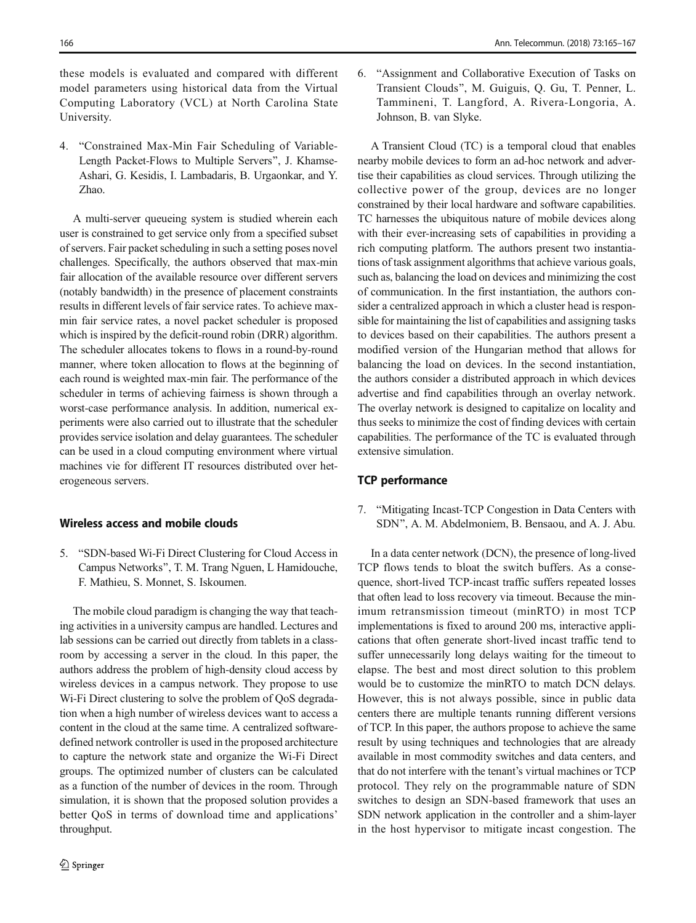these models is evaluated and compared with different model parameters using historical data from the Virtual Computing Laboratory (VCL) at North Carolina State University.

4. "Constrained Max-Min Fair Scheduling of Variable-Length Packet-Flows to Multiple Servers", J. Khamse-Ashari, G. Kesidis, I. Lambadaris, B. Urgaonkar, and Y. Zhao.

A multi-server queueing system is studied wherein each user is constrained to get service only from a specified subset of servers. Fair packet scheduling in such a setting poses novel challenges. Specifically, the authors observed that max-min fair allocation of the available resource over different servers (notably bandwidth) in the presence of placement constraints results in different levels of fair service rates. To achieve maxmin fair service rates, a novel packet scheduler is proposed which is inspired by the deficit-round robin (DRR) algorithm. The scheduler allocates tokens to flows in a round-by-round manner, where token allocation to flows at the beginning of each round is weighted max-min fair. The performance of the scheduler in terms of achieving fairness is shown through a worst-case performance analysis. In addition, numerical experiments were also carried out to illustrate that the scheduler provides service isolation and delay guarantees. The scheduler can be used in a cloud computing environment where virtual machines vie for different IT resources distributed over heterogeneous servers.

### Wireless access and mobile clouds

5. "SDN-based Wi-Fi Direct Clustering for Cloud Access in Campus Networks^, T. M. Trang Nguen, L Hamidouche, F. Mathieu, S. Monnet, S. Iskoumen.

The mobile cloud paradigm is changing the way that teaching activities in a university campus are handled. Lectures and lab sessions can be carried out directly from tablets in a classroom by accessing a server in the cloud. In this paper, the authors address the problem of high-density cloud access by wireless devices in a campus network. They propose to use Wi-Fi Direct clustering to solve the problem of QoS degradation when a high number of wireless devices want to access a content in the cloud at the same time. A centralized softwaredefined network controller is used in the proposed architecture to capture the network state and organize the Wi-Fi Direct groups. The optimized number of clusters can be calculated as a function of the number of devices in the room. Through simulation, it is shown that the proposed solution provides a better QoS in terms of download time and applications' throughput.

6. "Assignment and Collaborative Execution of Tasks on Transient Clouds^, M. Guiguis, Q. Gu, T. Penner, L. Tammineni, T. Langford, A. Rivera-Longoria, A. Johnson, B. van Slyke.

A Transient Cloud (TC) is a temporal cloud that enables nearby mobile devices to form an ad-hoc network and advertise their capabilities as cloud services. Through utilizing the collective power of the group, devices are no longer constrained by their local hardware and software capabilities. TC harnesses the ubiquitous nature of mobile devices along with their ever-increasing sets of capabilities in providing a rich computing platform. The authors present two instantiations of task assignment algorithms that achieve various goals, such as, balancing the load on devices and minimizing the cost of communication. In the first instantiation, the authors consider a centralized approach in which a cluster head is responsible for maintaining the list of capabilities and assigning tasks to devices based on their capabilities. The authors present a modified version of the Hungarian method that allows for balancing the load on devices. In the second instantiation, the authors consider a distributed approach in which devices advertise and find capabilities through an overlay network. The overlay network is designed to capitalize on locality and thus seeks to minimize the cost of finding devices with certain capabilities. The performance of the TC is evaluated through extensive simulation.

#### TCP performance

7. "Mitigating Incast-TCP Congestion in Data Centers with SDN^, A. M. Abdelmoniem, B. Bensaou, and A. J. Abu.

In a data center network (DCN), the presence of long-lived TCP flows tends to bloat the switch buffers. As a consequence, short-lived TCP-incast traffic suffers repeated losses that often lead to loss recovery via timeout. Because the minimum retransmission timeout (minRTO) in most TCP implementations is fixed to around 200 ms, interactive applications that often generate short-lived incast traffic tend to suffer unnecessarily long delays waiting for the timeout to elapse. The best and most direct solution to this problem would be to customize the minRTO to match DCN delays. However, this is not always possible, since in public data centers there are multiple tenants running different versions of TCP. In this paper, the authors propose to achieve the same result by using techniques and technologies that are already available in most commodity switches and data centers, and that do not interfere with the tenant's virtual machines or TCP protocol. They rely on the programmable nature of SDN switches to design an SDN-based framework that uses an SDN network application in the controller and a shim-layer in the host hypervisor to mitigate incast congestion. The